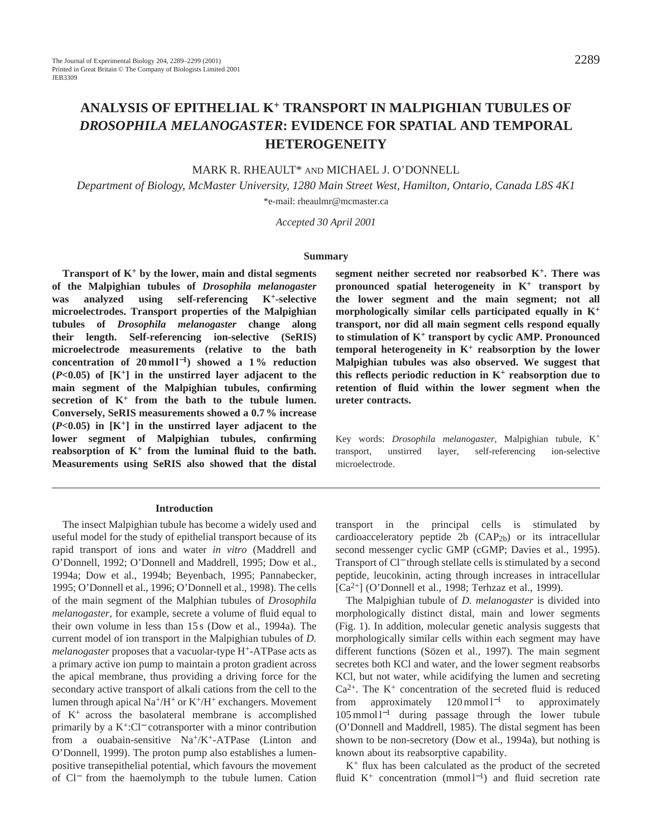# **ANALYSIS OF EPITHELIAL K<sup>+</sup> TRANSPORT IN MALPIGHIAN TUBULES OF** *DROSOPHILA MELANOGASTER***: EVIDENCE FOR SPATIAL AND TEMPORAL HETEROGENEITY**

### MARK R. RHEAULT\* AND MICHAEL J. O'DONNELL

*Department of Biology, McMaster University, 1280 Main Street West, Hamilton, Ontario, Canada L8S 4K1* \*e-mail: rheaulmr@mcmaster.ca

*Accepted 30 April 2001*

#### **Summary**

**Transport of K<sup>+</sup> by the lower, main and distal segments of the Malpighian tubules of** *Drosophila melanogaster* **was analyzed using self-referencing K+-selective microelectrodes. Transport properties of the Malpighian tubules of** *Drosophila melanogaster* **change along their length. Self-referencing ion-selective (SeRIS) microelectrode measurements (relative to the bath concentration of 20 mmol l**<sup>−</sup>**1) showed a 1 % reduction (***P***<0.05) of [K+] in the unstirred layer adjacent to the main segment of the Malpighian tubules, confirming secretion of K+ from the bath to the tubule lumen. Conversely, SeRIS measurements showed a 0.7 % increase (***P***<0.05) in [K+] in the unstirred layer adjacent to the lower segment of Malpighian tubules, confirming reabsorption of K+ from the luminal fluid to the bath. Measurements using SeRIS also showed that the distal**

#### **Introduction**

The insect Malpighian tubule has become a widely used and useful model for the study of epithelial transport because of its rapid transport of ions and water *in vitro* (Maddrell and O'Donnell, 1992; O'Donnell and Maddrell, 1995; Dow et al., 1994a; Dow et al., 1994b; Beyenbach, 1995; Pannabecker, 1995; O'Donnell et al., 1996; O'Donnell et al., 1998). The cells of the main segment of the Malphian tubules of *Drosophila melanogaster*, for example, secrete a volume of fluid equal to their own volume in less than 15 s (Dow et al., 1994a). The current model of ion transport in the Malpighian tubules of *D. melanogaster* proposes that a vacuolar-type H+-ATPase acts as a primary active ion pump to maintain a proton gradient across the apical membrane, thus providing a driving force for the secondary active transport of alkali cations from the cell to the lumen through apical Na<sup>+</sup>/H<sup>+</sup> or K<sup>+</sup>/H<sup>+</sup> exchangers. Movement of K+ across the basolateral membrane is accomplished primarily by a K+:Cl<sup>−</sup> cotransporter with a minor contribution from a ouabain-sensitive  $Na^{+}/K^{+}$ -ATPase (Linton and O'Donnell, 1999). The proton pump also establishes a lumenpositive transepithelial potential, which favours the movement of Cl<sup>−</sup> from the haemolymph to the tubule lumen. Cation **segment neither secreted nor reabsorbed K+. There was pronounced spatial heterogeneity in K+ transport by the lower segment and the main segment; not all morphologically similar cells participated equally in K+ transport, nor did all main segment cells respond equally to stimulation of K+ transport by cyclic AMP. Pronounced temporal heterogeneity in K+ reabsorption by the lower Malpighian tubules was also observed. We suggest that this reflects periodic reduction in K+ reabsorption due to retention of fluid within the lower segment when the ureter contracts.**

Key words: *Drosophila melanogaster*, Malpighian tubule, K<sup>+</sup> transport, unstirred layer, self-referencing ion-selective microelectrode.

transport in the principal cells is stimulated by cardioacceleratory peptide 2b  $(CAP<sub>2b</sub>)$  or its intracellular second messenger cyclic GMP (cGMP; Davies et al., 1995). Transport of Cl<sup>−</sup> through stellate cells is stimulated by a second peptide, leucokinin, acting through increases in intracellular  $[Ca^{2+}]$  (O'Donnell et al., 1998; Terhzaz et al., 1999).

The Malpighian tubule of *D. melanogaster* is divided into morphologically distinct distal, main and lower segments (Fig. 1). In addition, molecular genetic analysis suggests that morphologically similar cells within each segment may have different functions (Sözen et al., 1997). The main segment secretes both KCl and water, and the lower segment reabsorbs KCl, but not water, while acidifying the lumen and secreting  $Ca<sup>2+</sup>$ . The K<sup>+</sup> concentration of the secreted fluid is reduced from approximately  $120 \text{ mmol } 1^{-1}$  to approximately 105 mmol l−<sup>1</sup> during passage through the lower tubule (O'Donnell and Maddrell, 1985). The distal segment has been shown to be non-secretory (Dow et al., 1994a), but nothing is known about its reabsorptive capability.

K<sup>+</sup> flux has been calculated as the product of the secreted fluid K<sup>+</sup> concentration (mmol l<sup>-1</sup>) and fluid secretion rate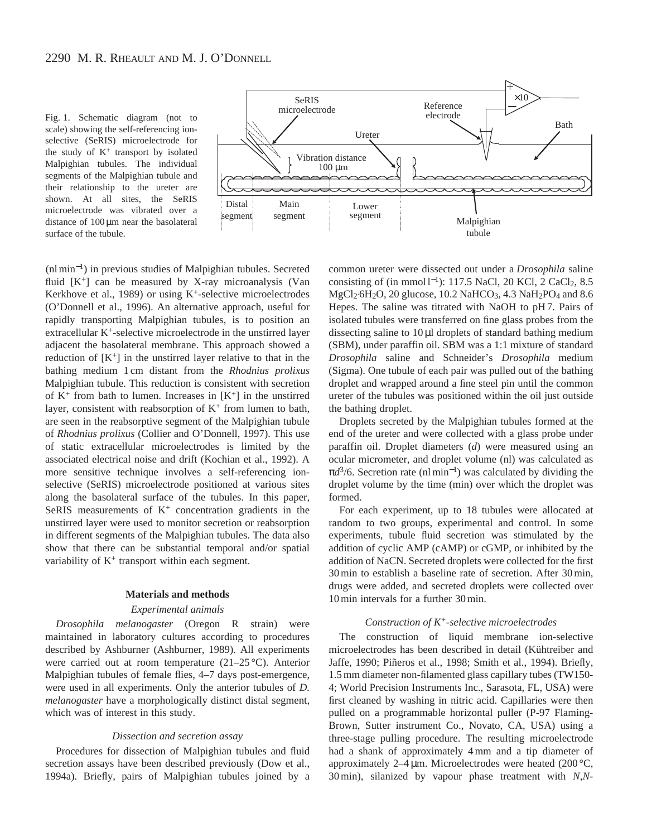Fig. 1. Schematic diagram (not to scale) showing the self-referencing ionselective (SeRIS) microelectrode for the study of  $K^+$  transport by isolated Malpighian tubules. The individual segments of the Malpighian tubule and their relationship to the ureter are shown. At all sites, the SeRIS microelectrode was vibrated over a distance of 100 µm near the basolateral surface of the tubule.



(nl min<sup>−</sup>1) in previous studies of Malpighian tubules. Secreted fluid  $[K^+]$  can be measured by X-ray microanalysis (Van Kerkhove et al., 1989) or using  $K^+$ -selective microelectrodes (O'Donnell et al., 1996). An alternative approach, useful for rapidly transporting Malpighian tubules, is to position an extracellular K+-selective microelectrode in the unstirred layer adjacent the basolateral membrane. This approach showed a reduction of  $[K^+]$  in the unstirred layer relative to that in the bathing medium 1 cm distant from the *Rhodnius prolixus* Malpighian tubule. This reduction is consistent with secretion of  $K^+$  from bath to lumen. Increases in  $[K^+]$  in the unstirred layer, consistent with reabsorption of  $K^+$  from lumen to bath, are seen in the reabsorptive segment of the Malpighian tubule of *Rhodnius prolixus* (Collier and O'Donnell, 1997). This use of static extracellular microelectrodes is limited by the associated electrical noise and drift (Kochian et al., 1992). A more sensitive technique involves a self-referencing ionselective (SeRIS) microelectrode positioned at various sites along the basolateral surface of the tubules. In this paper, SeRIS measurements of  $K<sup>+</sup>$  concentration gradients in the unstirred layer were used to monitor secretion or reabsorption in different segments of the Malpighian tubules. The data also show that there can be substantial temporal and/or spatial variability of  $K^+$  transport within each segment.

#### **Materials and methods**

#### *Experimental animals*

*Drosophila melanogaster* (Oregon R strain) were maintained in laboratory cultures according to procedures described by Ashburner (Ashburner, 1989). All experiments were carried out at room temperature (21–25 °C). Anterior Malpighian tubules of female flies, 4–7 days post-emergence, were used in all experiments. Only the anterior tubules of *D. melanogaster* have a morphologically distinct distal segment, which was of interest in this study.

### *Dissection and secretion assay*

Procedures for dissection of Malpighian tubules and fluid secretion assays have been described previously (Dow et al., 1994a). Briefly, pairs of Malpighian tubules joined by a common ureter were dissected out under a *Drosophila* saline consisting of (in mmol  $l^{-1}$ ): 117.5 NaCl, 20 KCl, 2 CaCl<sub>2</sub>, 8.5 MgCl<sub>2</sub>·6H<sub>2</sub>O, 20 glucose, 10.2 NaHCO<sub>3</sub>, 4.3 NaH<sub>2</sub>PO<sub>4</sub> and 8.6 Hepes. The saline was titrated with NaOH to pH 7. Pairs of isolated tubules were transferred on fine glass probes from the dissecting saline to 10 µl droplets of standard bathing medium (SBM), under paraffin oil. SBM was a 1:1 mixture of standard *Drosophila* saline and Schneider's *Drosophila* medium (Sigma). One tubule of each pair was pulled out of the bathing droplet and wrapped around a fine steel pin until the common ureter of the tubules was positioned within the oil just outside the bathing droplet.

Droplets secreted by the Malpighian tubules formed at the end of the ureter and were collected with a glass probe under paraffin oil. Droplet diameters (*d*) were measured using an ocular micrometer, and droplet volume (nl) was calculated as π*d*3/6. Secretion rate (nl min−1) was calculated by dividing the droplet volume by the time (min) over which the droplet was formed.

For each experiment, up to 18 tubules were allocated at random to two groups, experimental and control. In some experiments, tubule fluid secretion was stimulated by the addition of cyclic AMP (cAMP) or cGMP, or inhibited by the addition of NaCN. Secreted droplets were collected for the first 30 min to establish a baseline rate of secretion. After 30 min, drugs were added, and secreted droplets were collected over 10 min intervals for a further 30 min.

#### *Construction of K+-selective microelectrodes*

The construction of liquid membrane ion-selective microelectrodes has been described in detail (Kühtreiber and Jaffe, 1990; Piñeros et al., 1998; Smith et al., 1994). Briefly, 1.5 mm diameter non-filamented glass capillary tubes (TW150- 4; World Precision Instruments Inc., Sarasota, FL, USA) were first cleaned by washing in nitric acid. Capillaries were then pulled on a programmable horizontal puller (P-97 Flaming-Brown, Sutter instrument Co., Novato, CA, USA) using a three-stage pulling procedure. The resulting microelectrode had a shank of approximately 4 mm and a tip diameter of approximately  $2-4 \mu m$ . Microelectrodes were heated (200 °C, 30 min), silanized by vapour phase treatment with *N*,*N*-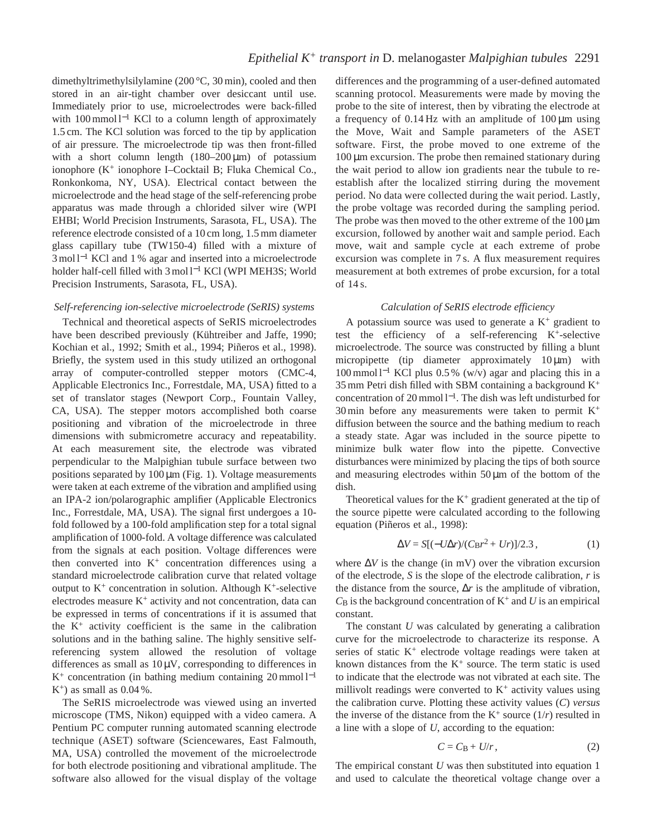dimethyltrimethylsilylamine (200 °C, 30 min), cooled and then stored in an air-tight chamber over desiccant until use. Immediately prior to use, microelectrodes were back-filled with 100 mmol l<sup>-1</sup> KCl to a column length of approximately 1.5 cm. The KCl solution was forced to the tip by application of air pressure. The microelectrode tip was then front-filled with a short column length  $(180-200)\,\mu\text{m}$  of potassium ionophore ( $K^+$  ionophore I–Cocktail B; Fluka Chemical Co., Ronkonkoma, NY, USA). Electrical contact between the microelectrode and the head stage of the self-referencing probe apparatus was made through a chlorided silver wire (WPI EHBI; World Precision Instruments, Sarasota, FL, USA). The reference electrode consisted of a 10 cm long, 1.5 mm diameter glass capillary tube (TW150-4) filled with a mixture of 3 mol l<sup>−1</sup> KCl and 1 % agar and inserted into a microelectrode holder half-cell filled with 3 mol l−<sup>1</sup> KCl (WPI MEH3S; World Precision Instruments, Sarasota, FL, USA).

### *Self-referencing ion-selective microelectrode (SeRIS) systems*

Technical and theoretical aspects of SeRIS microelectrodes have been described previously (Kühtreiber and Jaffe, 1990; Kochian et al., 1992; Smith et al., 1994; Piñeros et al., 1998). Briefly, the system used in this study utilized an orthogonal array of computer-controlled stepper motors (CMC-4, Applicable Electronics Inc., Forrestdale, MA, USA) fitted to a set of translator stages (Newport Corp., Fountain Valley, CA, USA). The stepper motors accomplished both coarse positioning and vibration of the microelectrode in three dimensions with submicrometre accuracy and repeatability. At each measurement site, the electrode was vibrated perpendicular to the Malpighian tubule surface between two positions separated by  $100 \mu m$  (Fig. 1). Voltage measurements were taken at each extreme of the vibration and amplified using an IPA-2 ion/polarographic amplifier (Applicable Electronics Inc., Forrestdale, MA, USA). The signal first undergoes a 10 fold followed by a 100-fold amplification step for a total signal amplification of 1000-fold. A voltage difference was calculated from the signals at each position. Voltage differences were then converted into  $K^+$  concentration differences using a standard microelectrode calibration curve that related voltage output to  $K^+$  concentration in solution. Although  $K^+$ -selective electrodes measure  $K<sup>+</sup>$  activity and not concentration, data can be expressed in terms of concentrations if it is assumed that the  $K^+$  activity coefficient is the same in the calibration solutions and in the bathing saline. The highly sensitive selfreferencing system allowed the resolution of voltage differences as small as  $10 \mu V$ , corresponding to differences in K+ concentration (in bathing medium containing 20 mmol l−<sup>1</sup>  $K^+$ ) as small as 0.04 %.

The SeRIS microelectrode was viewed using an inverted microscope (TMS, Nikon) equipped with a video camera. A Pentium PC computer running automated scanning electrode technique (ASET) software (Sciencewares, East Falmouth, MA, USA) controlled the movement of the microelectrode for both electrode positioning and vibrational amplitude. The software also allowed for the visual display of the voltage differences and the programming of a user-defined automated scanning protocol. Measurements were made by moving the probe to the site of interest, then by vibrating the electrode at a frequency of  $0.14 \text{ Hz}$  with an amplitude of  $100 \mu m$  using the Move, Wait and Sample parameters of the ASET software. First, the probe moved to one extreme of the 100 µm excursion. The probe then remained stationary during the wait period to allow ion gradients near the tubule to reestablish after the localized stirring during the movement period. No data were collected during the wait period. Lastly, the probe voltage was recorded during the sampling period. The probe was then moved to the other extreme of the  $100 \mu m$ excursion, followed by another wait and sample period. Each move, wait and sample cycle at each extreme of probe excursion was complete in 7 s. A flux measurement requires measurement at both extremes of probe excursion, for a total of 14 s.

### *Calculation of SeRIS electrode efficiency*

A potassium source was used to generate a  $K^+$  gradient to test the efficiency of a self-referencing  $K^+$ -selective microelectrode. The source was constructed by filling a blunt micropipette (tip diameter approximately  $10 \mu m$ ) with 100 mmol l−<sup>1</sup> KCl plus 0.5 % (w/v) agar and placing this in a 35 mm Petri dish filled with SBM containing a background  $K^+$ concentration of 20 mmol l<sup>−</sup>1. The dish was left undisturbed for 30 min before any measurements were taken to permit  $K^+$ diffusion between the source and the bathing medium to reach a steady state. Agar was included in the source pipette to minimize bulk water flow into the pipette. Convective disturbances were minimized by placing the tips of both source and measuring electrodes within  $50 \mu m$  of the bottom of the dish.

Theoretical values for the  $K^+$  gradient generated at the tip of the source pipette were calculated according to the following equation (Piñeros et al., 1998):

$$
\Delta V = S[(-U\Delta r)/(C_{\rm B}r^2 + Ur)]/2.3, \qquad (1)
$$

where ∆*V* is the change (in mV) over the vibration excursion of the electrode, *S* is the slope of the electrode calibration, *r* is the distance from the source, ∆*r* is the amplitude of vibration,  $C_B$  is the background concentration of  $K^+$  and  $U$  is an empirical constant.

The constant *U* was calculated by generating a calibration curve for the microelectrode to characterize its response. A series of static  $K^+$  electrode voltage readings were taken at known distances from the  $K^+$  source. The term static is used to indicate that the electrode was not vibrated at each site. The millivolt readings were converted to  $K^+$  activity values using the calibration curve. Plotting these activity values (*C*) *versus* the inverse of the distance from the  $K^+$  source  $(1/r)$  resulted in a line with a slope of *U*, according to the equation:

$$
C = C_{\rm B} + U/r, \tag{2}
$$

The empirical constant *U* was then substituted into equation 1 and used to calculate the theoretical voltage change over a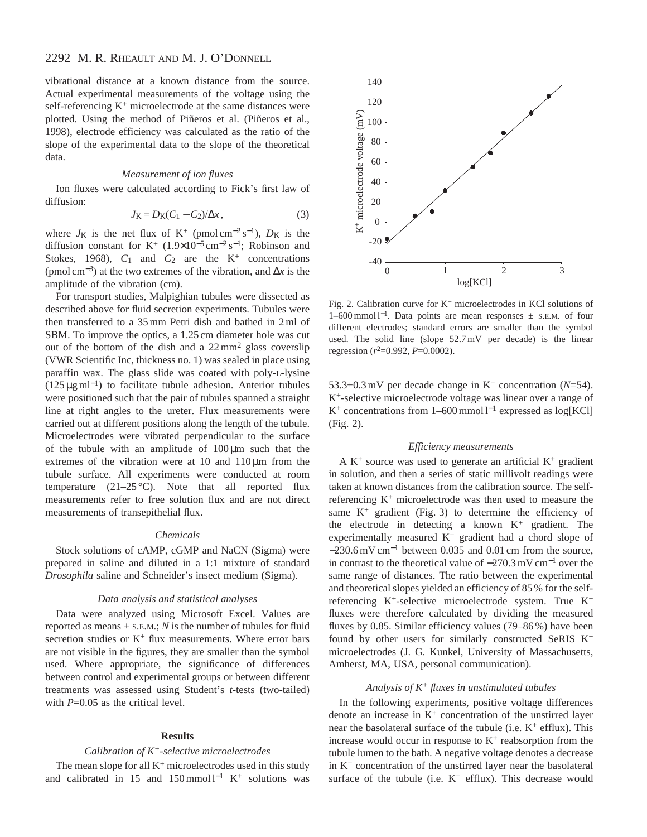# 2292 M. R. RHEAULT AND M. J. O'DONNELL

vibrational distance at a known distance from the source. Actual experimental measurements of the voltage using the self-referencing  $K^+$  microelectrode at the same distances were plotted. Using the method of Piñeros et al. (Piñeros et al., 1998), electrode efficiency was calculated as the ratio of the slope of the experimental data to the slope of the theoretical data.

### *Measurement of ion fluxes*

Ion fluxes were calculated according to Fick's first law of diffusion:

$$
J_{\rm K} = D_{\rm K}(C_1 - C_2)/\Delta x\,,\tag{3}
$$

where  $J_K$  is the net flux of K<sup>+</sup> (pmol cm<sup>-2</sup> s<sup>-1</sup>),  $D_K$  is the diffusion constant for K<sup>+</sup> (1.9×10<sup>-5</sup> cm<sup>-2</sup> s<sup>-1</sup>; Robinson and Stokes, 1968),  $C_1$  and  $C_2$  are the K<sup>+</sup> concentrations (pmol cm<sup>−</sup>3) at the two extremes of the vibration, and ∆*x* is the amplitude of the vibration (cm).

For transport studies, Malpighian tubules were dissected as described above for fluid secretion experiments. Tubules were then transferred to a 35 mm Petri dish and bathed in 2 ml of SBM. To improve the optics, a 1.25 cm diameter hole was cut out of the bottom of the dish and a  $22 \text{ mm}^2$  glass coverslip (VWR Scientific Inc, thickness no. 1) was sealed in place using paraffin wax. The glass slide was coated with poly-L-lysine (125 µg ml<sup>−</sup>1) to facilitate tubule adhesion. Anterior tubules were positioned such that the pair of tubules spanned a straight line at right angles to the ureter. Flux measurements were carried out at different positions along the length of the tubule. Microelectrodes were vibrated perpendicular to the surface of the tubule with an amplitude of  $100 \mu m$  such that the extremes of the vibration were at  $10$  and  $110 \mu m$  from the tubule surface. All experiments were conducted at room temperature  $(21-25 \degree C)$ . Note that all reported flux measurements refer to free solution flux and are not direct measurements of transepithelial flux.

#### *Chemicals*

Stock solutions of cAMP, cGMP and NaCN (Sigma) were prepared in saline and diluted in a 1:1 mixture of standard *Drosophila* saline and Schneider's insect medium (Sigma).

### *Data analysis and statistical analyses*

Data were analyzed using Microsoft Excel. Values are reported as means  $\pm$  s.e.m.; *N* is the number of tubules for fluid secretion studies or  $K^+$  flux measurements. Where error bars are not visible in the figures, they are smaller than the symbol used. Where appropriate, the significance of differences between control and experimental groups or between different treatments was assessed using Student's *t*-tests (two-tailed) with *P*=0.05 as the critical level.

#### **Results**

### *Calibration of K+-selective microelectrodes*

The mean slope for all  $K^+$  microelectrodes used in this study and calibrated in 15 and 150 mmol  $l^{-1}$  K<sup>+</sup> solutions was



Fig. 2. Calibration curve for  $K^+$  microelectrodes in KCl solutions of 1–600 mmol l<sup>−</sup>1. Data points are mean responses ± S.E.M. of four different electrodes; standard errors are smaller than the symbol used. The solid line (slope 52.7 mV per decade) is the linear regression  $(r^2=0.992, P=0.0002)$ .

53.3±0.3 mV per decade change in K<sup>+</sup> concentration (*N*=54). K+-selective microelectrode voltage was linear over a range of K+ concentrations from 1–600 mmol l−<sup>1</sup> expressed as log[KCl] (Fig. 2).

### *Efficiency measurements*

A  $K^+$  source was used to generate an artificial  $K^+$  gradient in solution, and then a series of static millivolt readings were taken at known distances from the calibration source. The selfreferencing K+ microelectrode was then used to measure the same  $K^+$  gradient (Fig. 3) to determine the efficiency of the electrode in detecting a known  $K^+$  gradient. The experimentally measured  $K^+$  gradient had a chord slope of −230.6 mV cm−<sup>1</sup> between 0.035 and 0.01 cm from the source, in contrast to the theoretical value of −270.3 mV cm−<sup>1</sup> over the same range of distances. The ratio between the experimental and theoretical slopes yielded an efficiency of 85 % for the selfreferencing K+-selective microelectrode system. True K+ fluxes were therefore calculated by dividing the measured fluxes by 0.85. Similar efficiency values (79–86 %) have been found by other users for similarly constructed SeRIS K+ microelectrodes (J. G. Kunkel, University of Massachusetts, Amherst, MA, USA, personal communication).

### *Analysis of K<sup>+</sup> fluxes in unstimulated tubules*

In the following experiments, positive voltage differences denote an increase in  $K^+$  concentration of the unstirred layer near the basolateral surface of the tubule (i.e.  $K^+$  efflux). This increase would occur in response to  $K<sup>+</sup>$  reabsorption from the tubule lumen to the bath. A negative voltage denotes a decrease in  $K^+$  concentration of the unstirred layer near the basolateral surface of the tubule (i.e.  $K^+$  efflux). This decrease would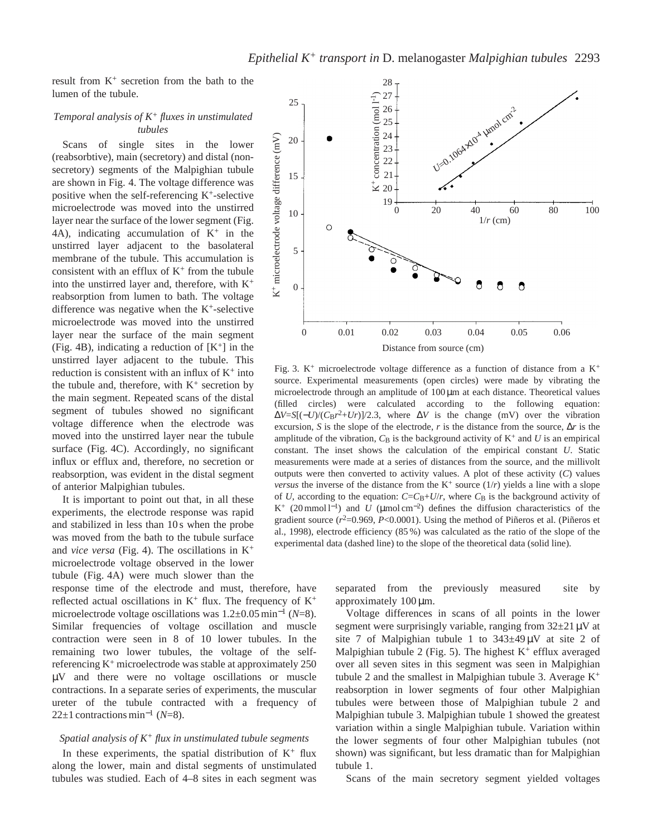result from K+ secretion from the bath to the lumen of the tubule.

### *Temporal analysis of K<sup>+</sup> fluxes in unstimulated tubules*

Scans of single sites in the lower (reabsorbtive), main (secretory) and distal (nonsecretory) segments of the Malpighian tubule are shown in Fig. 4. The voltage difference was positive when the self-referencing  $K^+$ -selective microelectrode was moved into the unstirred layer near the surface of the lower segment (Fig. 4A), indicating accumulation of  $K^+$  in the unstirred layer adjacent to the basolateral membrane of the tubule. This accumulation is consistent with an efflux of  $K^+$  from the tubule into the unstirred layer and, therefore, with  $K^+$ reabsorption from lumen to bath. The voltage difference was negative when the  $K<sup>+</sup>$ -selective microelectrode was moved into the unstirred layer near the surface of the main segment (Fig. 4B), indicating a reduction of  $[K^+]$  in the unstirred layer adjacent to the tubule. This reduction is consistent with an influx of  $K^+$  into the tubule and, therefore, with  $K^+$  secretion by the main segment. Repeated scans of the distal segment of tubules showed no significant voltage difference when the electrode was moved into the unstirred layer near the tubule surface (Fig. 4C). Accordingly, no significant influx or efflux and, therefore, no secretion or reabsorption, was evident in the distal segment of anterior Malpighian tubules.

It is important to point out that, in all these experiments, the electrode response was rapid and stabilized in less than 10 s when the probe was moved from the bath to the tubule surface and *vice versa* (Fig. 4). The oscillations in  $K^+$ microelectrode voltage observed in the lower tubule (Fig. 4A) were much slower than the

response time of the electrode and must, therefore, have reflected actual oscillations in  $K^+$  flux. The frequency of  $K^+$ microelectrode voltage oscillations was 1.2±0.05 min−<sup>1</sup> (*N*=8). Similar frequencies of voltage oscillation and muscle contraction were seen in 8 of 10 lower tubules. In the remaining two lower tubules, the voltage of the selfreferencing  $K^+$  microelectrode was stable at approximately 250 µV and there were no voltage oscillations or muscle contractions. In a separate series of experiments, the muscular ureter of the tubule contracted with a frequency of 22±1 contractions min−<sup>1</sup> (*N*=8).

### *Spatial analysis of K<sup>+</sup> flux in unstimulated tubule segments*

In these experiments, the spatial distribution of  $K^+$  flux along the lower, main and distal segments of unstimulated tubules was studied. Each of 4–8 sites in each segment was



Fig. 3.  $K^+$  microelectrode voltage difference as a function of distance from a  $K^+$ source. Experimental measurements (open circles) were made by vibrating the microelectrode through an amplitude of  $100 \mu m$  at each distance. Theoretical values (filled circles) were calculated according to the following equation:  $\Delta V = S[(-U)/(C_B r^2 + Ur)]/2.3$ , where  $\Delta V$  is the change (mV) over the vibration excursion, *S* is the slope of the electrode, *r* is the distance from the source,  $\Delta r$  is the amplitude of the vibration,  $C_B$  is the background activity of  $K^+$  and  $U$  is an empirical constant. The inset shows the calculation of the empirical constant *U*. Static measurements were made at a series of distances from the source, and the millivolt outputs were then converted to activity values. A plot of these activity (*C*) values *versus* the inverse of the distance from the  $K^+$  source  $(1/r)$  yields a line with a slope of *U*, according to the equation:  $C=C_B+U/r$ , where  $C_B$  is the background activity of K+ (20 mmol l<sup>−</sup>1) and *U* (µmol cm<sup>−</sup>2) defines the diffusion characteristics of the gradient source  $(r^2=0.969, P<0.0001)$ . Using the method of Piñeros et al. (Piñeros et al., 1998), electrode efficiency (85 %) was calculated as the ratio of the slope of the experimental data (dashed line) to the slope of the theoretical data (solid line).

separated from the previously measured site by approximately 100  $\mu$ m.

Voltage differences in scans of all points in the lower segment were surprisingly variable, ranging from  $32\pm21 \,\mu\text{V}$  at site 7 of Malpighian tubule 1 to  $343\pm49\,\mu$ V at site 2 of Malpighian tubule 2 (Fig. 5). The highest  $K^+$  efflux averaged over all seven sites in this segment was seen in Malpighian tubule 2 and the smallest in Malpighian tubule 3. Average  $K^+$ reabsorption in lower segments of four other Malpighian tubules were between those of Malpighian tubule 2 and Malpighian tubule 3. Malpighian tubule 1 showed the greatest variation within a single Malpighian tubule. Variation within the lower segments of four other Malpighian tubules (not shown) was significant, but less dramatic than for Malpighian tubule 1.

Scans of the main secretory segment yielded voltages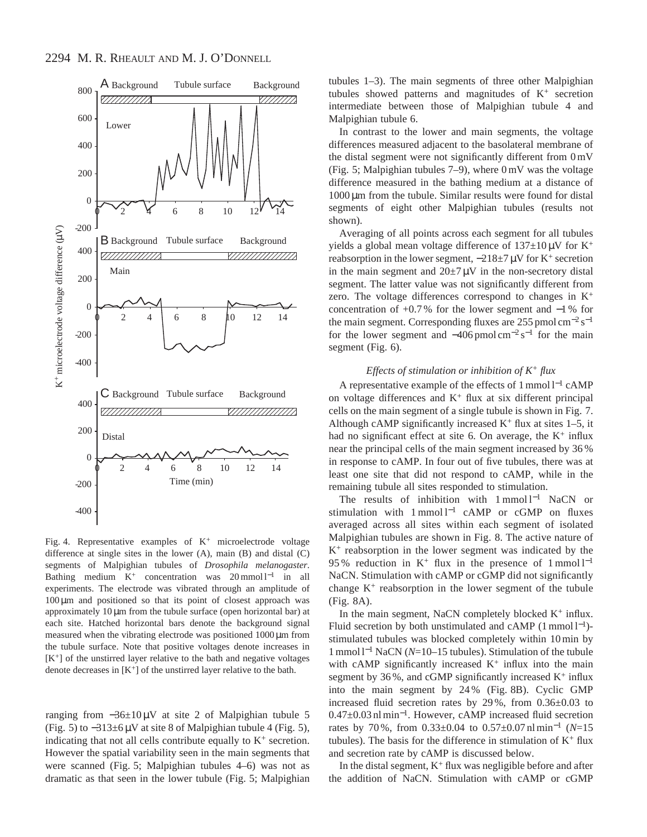

Fig. 4. Representative examples of  $K^+$  microelectrode voltage difference at single sites in the lower (A), main (B) and distal (C) segments of Malpighian tubules of *Drosophila melanogaster*. Bathing medium  $K^+$  concentration was 20 mmol l<sup>-1</sup> in all experiments. The electrode was vibrated through an amplitude of  $100 \mu m$  and positioned so that its point of closest approach was approximately  $10 \mu m$  from the tubule surface (open horizontal bar) at each site. Hatched horizontal bars denote the background signal measured when the vibrating electrode was positioned 1000 µm from the tubule surface. Note that positive voltages denote increases in  $[K^+]$  of the unstirred layer relative to the bath and negative voltages denote decreases in  $[K^+]$  of the unstirred layer relative to the bath.

ranging from  $-36\pm10 \mu V$  at site 2 of Malpighian tubule 5 (Fig. 5) to  $-313\pm6\,\mu\text{V}$  at site 8 of Malpighian tubule 4 (Fig. 5), indicating that not all cells contribute equally to  $K^+$  secretion. However the spatial variability seen in the main segments that were scanned (Fig. 5; Malpighian tubules 4–6) was not as dramatic as that seen in the lower tubule (Fig. 5; Malpighian

tubules 1–3). The main segments of three other Malpighian tubules showed patterns and magnitudes of  $K<sup>+</sup>$  secretion intermediate between those of Malpighian tubule 4 and Malpighian tubule 6.

In contrast to the lower and main segments, the voltage differences measured adjacent to the basolateral membrane of the distal segment were not significantly different from 0 mV (Fig. 5; Malpighian tubules 7–9), where 0 mV was the voltage difference measured in the bathing medium at a distance of 1000 µm from the tubule. Similar results were found for distal segments of eight other Malpighian tubules (results not shown).

Averaging of all points across each segment for all tubules yields a global mean voltage difference of  $137\pm10\,\mu\text{V}$  for K<sup>+</sup> reabsorption in the lower segment,  $-218\pm7 \,\mu\text{V}$  for K<sup>+</sup> secretion in the main segment and  $20\pm7 \mu V$  in the non-secretory distal segment. The latter value was not significantly different from zero. The voltage differences correspond to changes in K<sup>+</sup> concentration of +0.7 % for the lower segment and −1 % for the main segment. Corresponding fluxes are 255 pmol cm−<sup>2</sup> s−<sup>1</sup> for the lower segment and  $-406$  pmol cm<sup>-2</sup> s<sup>-1</sup> for the main segment (Fig. 6).

### *Effects of stimulation or inhibition of K<sup>+</sup> flux*

A representative example of the effects of 1 mmol l−<sup>1</sup> cAMP on voltage differences and  $K^+$  flux at six different principal cells on the main segment of a single tubule is shown in Fig. 7. Although cAMP significantly increased  $K^+$  flux at sites 1–5, it had no significant effect at site 6. On average, the  $K^+$  influx near the principal cells of the main segment increased by 36 % in response to cAMP. In four out of five tubules, there was at least one site that did not respond to cAMP, while in the remaining tubule all sites responded to stimulation.

The results of inhibition with 1 mmol l<sup>-1</sup> NaCN or stimulation with 1 mmol l<sup>-1</sup> cAMP or cGMP on fluxes averaged across all sites within each segment of isolated Malpighian tubules are shown in Fig. 8. The active nature of  $K<sup>+</sup>$  reabsorption in the lower segment was indicated by the 95 % reduction in K<sup>+</sup> flux in the presence of 1 mmol  $l^{-1}$ NaCN. Stimulation with cAMP or cGMP did not significantly change  $K^+$  reabsorption in the lower segment of the tubule (Fig. 8A).

In the main segment, NaCN completely blocked  $K^+$  influx. Fluid secretion by both unstimulated and cAMP (1 mmol l<sup>−</sup>1) stimulated tubules was blocked completely within 10 min by 1 mmol l−<sup>1</sup> NaCN (*N*=10–15 tubules). Stimulation of the tubule with cAMP significantly increased  $K^+$  influx into the main segment by 36%, and cGMP significantly increased  $K^+$  influx into the main segment by 24 % (Fig. 8B). Cyclic GMP increased fluid secretion rates by 29 %, from 0.36±0.03 to 0.47±0.03 nl min<sup>−</sup>1. However, cAMP increased fluid secretion rates by 70 %, from 0.33±0.04 to 0.57±0.07 nl min−<sup>1</sup> (*N*=15 tubules). The basis for the difference in stimulation of  $K^+$  flux and secretion rate by cAMP is discussed below.

In the distal segment,  $K^+$  flux was negligible before and after the addition of NaCN. Stimulation with cAMP or cGMP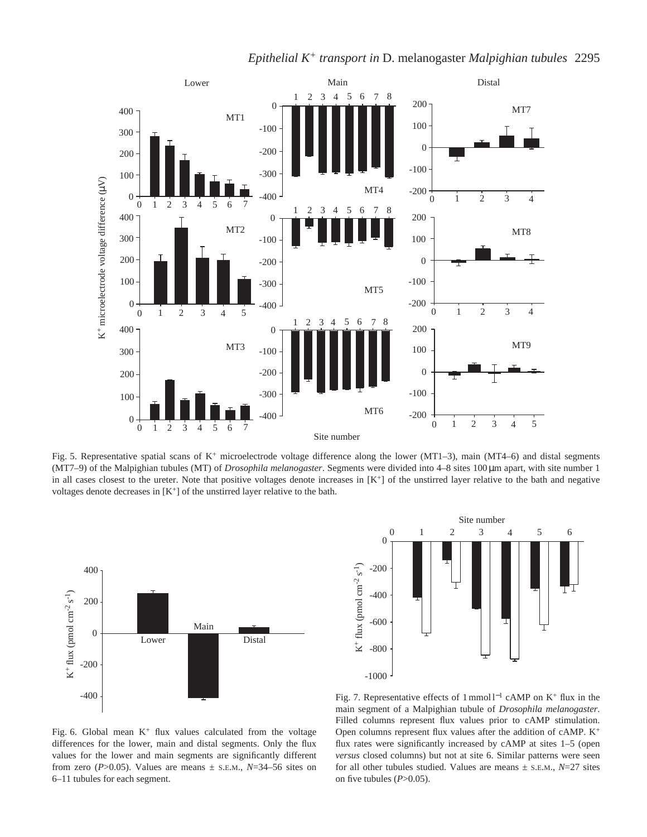

*Epithelial K<sup>+</sup> transport in D.* melanogaster *Malpighian tubules* 2295

Fig. 5. Representative spatial scans of  $K^+$  microelectrode voltage difference along the lower (MT1–3), main (MT4–6) and distal segments (MT7–9) of the Malpighian tubules (MT) of *Drosophila melanogaster*. Segments were divided into 4–8 sites 100 µm apart, with site number 1 in all cases closest to the ureter. Note that positive voltages denote increases in  $[K^+]$  of the unstirred layer relative to the bath and negative voltages denote decreases in  $[K^+]$  of the unstirred layer relative to the bath.





Fig. 6. Global mean  $K^+$  flux values calculated from the voltage differences for the lower, main and distal segments. Only the flux values for the lower and main segments are significantly different from zero ( $P > 0.05$ ). Values are means  $\pm$  s.e.m.,  $N = 34 - 56$  sites on 6–11 tubules for each segment.

Fig. 7. Representative effects of 1 mmol l−<sup>1</sup> cAMP on K<sup>+</sup> flux in the main segment of a Malpighian tubule of *Drosophila melanogaster*. Filled columns represent flux values prior to cAMP stimulation. Open columns represent flux values after the addition of cAMP. K<sup>+</sup> flux rates were significantly increased by cAMP at sites 1–5 (open *versus* closed columns) but not at site 6. Similar patterns were seen for all other tubules studied. Values are means  $\pm$  s.E.M.,  $N=27$  sites on five tubules  $(P>0.05)$ .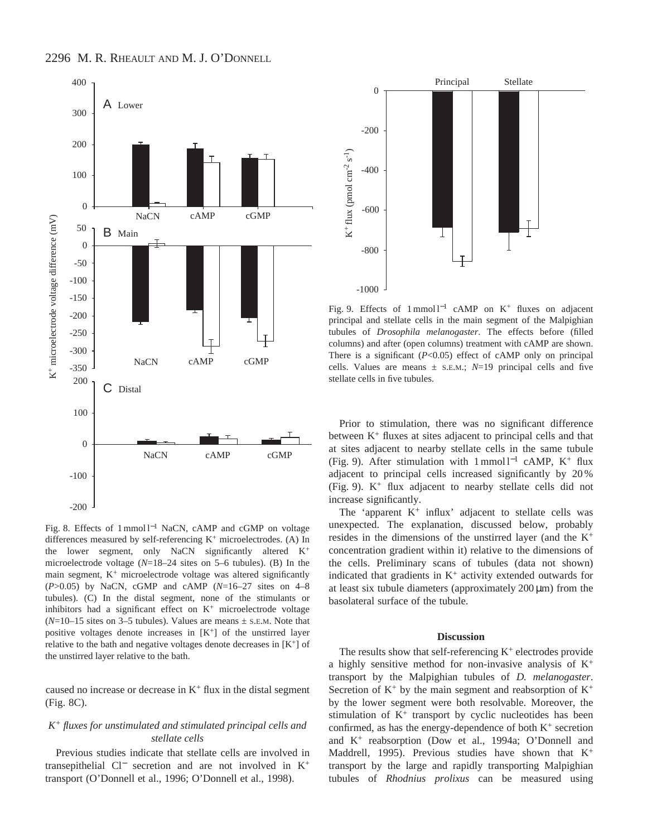

Fig. 8. Effects of 1 mmol l−<sup>1</sup> NaCN, cAMP and cGMP on voltage differences measured by self-referencing K<sup>+</sup> microelectrodes. (A) In the lower segment, only NaCN significantly altered K<sup>+</sup> microelectrode voltage (*N*=18–24 sites on 5–6 tubules). (B) In the main segment,  $K^+$  microelectrode voltage was altered significantly (*P*>0.05) by NaCN, cGMP and cAMP (*N*=16–27 sites on 4–8 tubules). (C) In the distal segment, none of the stimulants or inhibitors had a significant effect on  $K^+$  microelectrode voltage  $(N=10-15$  sites on 3–5 tubules). Values are means  $\pm$  s.E.M. Note that positive voltages denote increases in  $[K^+]$  of the unstirred layer relative to the bath and negative voltages denote decreases in  $[K^+]$  of the unstirred layer relative to the bath.

caused no increase or decrease in  $K^+$  flux in the distal segment (Fig. 8C).

## *K+ fluxes for unstimulated and stimulated principal cells and stellate cells*

Previous studies indicate that stellate cells are involved in transepithelial Cl<sup>−</sup> secretion and are not involved in K<sup>+</sup> transport (O'Donnell et al., 1996; O'Donnell et al., 1998).



Fig. 9. Effects of 1 mmol l<sup>-1</sup> cAMP on K<sup>+</sup> fluxes on adjacent principal and stellate cells in the main segment of the Malpighian tubules of *Drosophila melanogaster*. The effects before (filled columns) and after (open columns) treatment with cAMP are shown. There is a significant (*P*<0.05) effect of cAMP only on principal cells. Values are means  $\pm$  s.E.M.;  $N=19$  principal cells and five stellate cells in five tubules.

Prior to stimulation, there was no significant difference between K<sup>+</sup> fluxes at sites adjacent to principal cells and that at sites adjacent to nearby stellate cells in the same tubule (Fig. 9). After stimulation with 1 mmol  $l^{-1}$  cAMP, K<sup>+</sup> flux adjacent to principal cells increased significantly by 20 % (Fig. 9). K+ flux adjacent to nearby stellate cells did not increase significantly.

The 'apparent  $K^+$  influx' adjacent to stellate cells was unexpected. The explanation, discussed below, probably resides in the dimensions of the unstirred layer (and the  $K^+$ concentration gradient within it) relative to the dimensions of the cells. Preliminary scans of tubules (data not shown) indicated that gradients in  $K^+$  activity extended outwards for at least six tubule diameters (approximately  $200 \mu m$ ) from the basolateral surface of the tubule.

#### **Discussion**

The results show that self-referencing  $K^+$  electrodes provide a highly sensitive method for non-invasive analysis of  $K^+$ transport by the Malpighian tubules of *D. melanogaster*. Secretion of  $K^+$  by the main segment and reabsorption of  $K^+$ by the lower segment were both resolvable. Moreover, the stimulation of K+ transport by cyclic nucleotides has been confirmed, as has the energy-dependence of both  $K^+$  secretion and K+ reabsorption (Dow et al., 1994a; O'Donnell and Maddrell, 1995). Previous studies have shown that  $K^+$ transport by the large and rapidly transporting Malpighian tubules of *Rhodnius prolixus* can be measured using

# 2296 M. R. RHEAULT AND M. J. O'DONNELL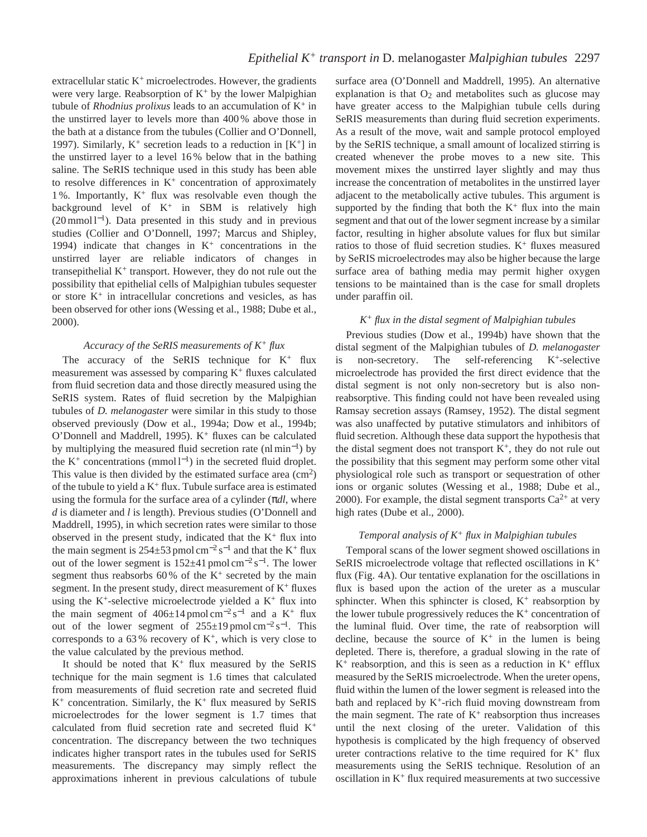extracellular static  $K^+$  microelectrodes. However, the gradients were very large. Reabsorption of  $K^+$  by the lower Malpighian tubule of *Rhodnius prolixus* leads to an accumulation of  $K^+$  in the unstirred layer to levels more than 400 % above those in the bath at a distance from the tubules (Collier and O'Donnell, 1997). Similarly,  $K^+$  secretion leads to a reduction in  $[K^+]$  in the unstirred layer to a level 16 % below that in the bathing saline. The SeRIS technique used in this study has been able to resolve differences in  $K^+$  concentration of approximately 1%. Importantly,  $K^+$  flux was resolvable even though the background level of  $K^+$  in SBM is relatively high  $(20 \text{ mmol } 1^{-1})$ . Data presented in this study and in previous studies (Collier and O'Donnell, 1997; Marcus and Shipley, 1994) indicate that changes in  $K^+$  concentrations in the unstirred layer are reliable indicators of changes in transepithelial  $K^+$  transport. However, they do not rule out the possibility that epithelial cells of Malpighian tubules sequester or store  $K^+$  in intracellular concretions and vesicles, as has been observed for other ions (Wessing et al., 1988; Dube et al., 2000).

### *Accuracy of the SeRIS measurements of K<sup>+</sup> flux*

The accuracy of the SeRIS technique for  $K^+$  flux measurement was assessed by comparing  $K^+$  fluxes calculated from fluid secretion data and those directly measured using the SeRIS system. Rates of fluid secretion by the Malpighian tubules of *D. melanogaster* were similar in this study to those observed previously (Dow et al., 1994a; Dow et al., 1994b; O'Donnell and Maddrell, 1995).  $K^+$  fluxes can be calculated by multiplying the measured fluid secretion rate (nl min<sup>−</sup>1) by the K<sup>+</sup> concentrations (mmol  $l^{-1}$ ) in the secreted fluid droplet. This value is then divided by the estimated surface area  $\text{cm}^2$ ) of the tubule to yield a  $K^+$  flux. Tubule surface area is estimated using the formula for the surface area of a cylinder (π*dl*, where *d* is diameter and *l* is length). Previous studies (O'Donnell and Maddrell, 1995), in which secretion rates were similar to those observed in the present study, indicated that the  $K^+$  flux into the main segment is 254±53 pmol cm<sup>-2</sup> s<sup>-1</sup> and that the K<sup>+</sup> flux out of the lower segment is 152±41 pmol cm−<sup>2</sup> s<sup>−</sup>1. The lower segment thus reabsorbs 60% of the  $K^+$  secreted by the main segment. In the present study, direct measurement of  $K^+$  fluxes using the  $K^+$ -selective microelectrode yielded a  $K^+$  flux into the main segment of  $406\pm14$  pmol cm<sup>-2</sup> s<sup>-1</sup> and a K<sup>+</sup> flux out of the lower segment of  $255\pm19$  pmol cm<sup>-2</sup> s<sup>-1</sup>. This corresponds to a 63% recovery of  $K^+$ , which is very close to the value calculated by the previous method.

It should be noted that  $K^+$  flux measured by the SeRIS technique for the main segment is 1.6 times that calculated from measurements of fluid secretion rate and secreted fluid  $K^+$  concentration. Similarly, the  $K^+$  flux measured by SeRIS microelectrodes for the lower segment is 1.7 times that calculated from fluid secretion rate and secreted fluid K<sup>+</sup> concentration. The discrepancy between the two techniques indicates higher transport rates in the tubules used for SeRIS measurements. The discrepancy may simply reflect the approximations inherent in previous calculations of tubule

surface area (O'Donnell and Maddrell, 1995). An alternative explanation is that  $O_2$  and metabolites such as glucose may have greater access to the Malpighian tubule cells during SeRIS measurements than during fluid secretion experiments. As a result of the move, wait and sample protocol employed by the SeRIS technique, a small amount of localized stirring is created whenever the probe moves to a new site. This movement mixes the unstirred layer slightly and may thus increase the concentration of metabolites in the unstirred layer adjacent to the metabolically active tubules. This argument is supported by the finding that both the  $K^+$  flux into the main segment and that out of the lower segment increase by a similar factor, resulting in higher absolute values for flux but similar ratios to those of fluid secretion studies.  $K^+$  fluxes measured by SeRIS microelectrodes may also be higher because the large surface area of bathing media may permit higher oxygen tensions to be maintained than is the case for small droplets under paraffin oil.

### *K+ flux in the distal segment of Malpighian tubules*

Previous studies (Dow et al., 1994b) have shown that the distal segment of the Malpighian tubules of *D. melanogaster* is non-secretory. The self-referencing K+-selective microelectrode has provided the first direct evidence that the distal segment is not only non-secretory but is also nonreabsorptive. This finding could not have been revealed using Ramsay secretion assays (Ramsey, 1952). The distal segment was also unaffected by putative stimulators and inhibitors of fluid secretion. Although these data support the hypothesis that the distal segment does not transport  $K^+$ , they do not rule out the possibility that this segment may perform some other vital physiological role such as transport or sequestration of other ions or organic solutes (Wessing et al., 1988; Dube et al., 2000). For example, the distal segment transports  $Ca^{2+}$  at very high rates (Dube et al., 2000).

### *Temporal analysis of K<sup>+</sup> flux in Malpighian tubules*

Temporal scans of the lower segment showed oscillations in SeRIS microelectrode voltage that reflected oscillations in K+ flux (Fig. 4A). Our tentative explanation for the oscillations in flux is based upon the action of the ureter as a muscular sphincter. When this sphincter is closed,  $K^+$  reabsorption by the lower tubule progressively reduces the  $K^+$  concentration of the luminal fluid. Over time, the rate of reabsorption will decline, because the source of  $K^+$  in the lumen is being depleted. There is, therefore, a gradual slowing in the rate of  $K^+$  reabsorption, and this is seen as a reduction in  $K^+$  efflux measured by the SeRIS microelectrode. When the ureter opens, fluid within the lumen of the lower segment is released into the bath and replaced by  $K^+$ -rich fluid moving downstream from the main segment. The rate of  $K^+$  reabsorption thus increases until the next closing of the ureter. Validation of this hypothesis is complicated by the high frequency of observed ureter contractions relative to the time required for  $K^+$  flux measurements using the SeRIS technique. Resolution of an oscillation in  $K^+$  flux required measurements at two successive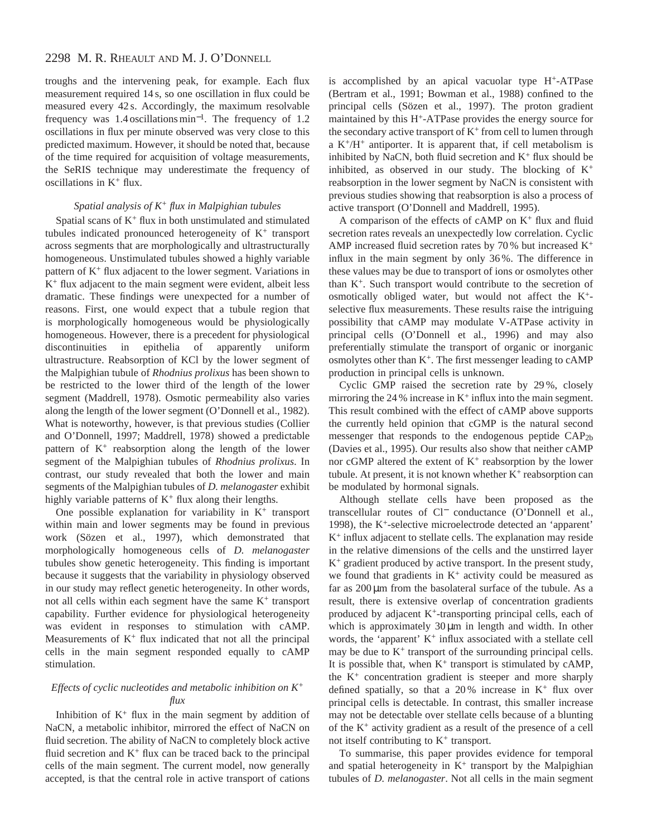# 2298 M. R. RHEAULT AND M. J. O'DONNELL

troughs and the intervening peak, for example. Each flux measurement required 14 s, so one oscillation in flux could be measured every 42 s. Accordingly, the maximum resolvable frequency was 1.4 oscillations min<sup>−</sup>1. The frequency of 1.2 oscillations in flux per minute observed was very close to this predicted maximum. However, it should be noted that, because of the time required for acquisition of voltage measurements, the SeRIS technique may underestimate the frequency of oscillations in K+ flux.

### *Spatial analysis of K<sup>+</sup> flux in Malpighian tubules*

Spatial scans of  $K^+$  flux in both unstimulated and stimulated tubules indicated pronounced heterogeneity of K<sup>+</sup> transport across segments that are morphologically and ultrastructurally homogeneous. Unstimulated tubules showed a highly variable pattern of  $K^+$  flux adjacent to the lower segment. Variations in K+ flux adjacent to the main segment were evident, albeit less dramatic. These findings were unexpected for a number of reasons. First, one would expect that a tubule region that is morphologically homogeneous would be physiologically homogeneous. However, there is a precedent for physiological discontinuities in epithelia of apparently uniform ultrastructure. Reabsorption of KCl by the lower segment of the Malpighian tubule of *Rhodnius prolixus* has been shown to be restricted to the lower third of the length of the lower segment (Maddrell, 1978). Osmotic permeability also varies along the length of the lower segment (O'Donnell et al., 1982). What is noteworthy, however, is that previous studies (Collier and O'Donnell, 1997; Maddrell, 1978) showed a predictable pattern of  $K^+$  reabsorption along the length of the lower segment of the Malpighian tubules of *Rhodnius prolixus*. In contrast, our study revealed that both the lower and main segments of the Malpighian tubules of *D. melanogaster* exhibit highly variable patterns of  $K^+$  flux along their lengths.

One possible explanation for variability in  $K^+$  transport within main and lower segments may be found in previous work (Sözen et al., 1997), which demonstrated that morphologically homogeneous cells of *D. melanogaster* tubules show genetic heterogeneity. This finding is important because it suggests that the variability in physiology observed in our study may reflect genetic heterogeneity. In other words, not all cells within each segment have the same  $K^+$  transport capability. Further evidence for physiological heterogeneity was evident in responses to stimulation with cAMP. Measurements of  $K^+$  flux indicated that not all the principal cells in the main segment responded equally to cAMP stimulation.

### *Effects of cyclic nucleotides and metabolic inhibition on K<sup>+</sup> flux*

Inhibition of  $K^+$  flux in the main segment by addition of NaCN, a metabolic inhibitor, mirrored the effect of NaCN on fluid secretion. The ability of NaCN to completely block active fluid secretion and  $K^+$  flux can be traced back to the principal cells of the main segment. The current model, now generally accepted, is that the central role in active transport of cations is accomplished by an apical vacuolar type H+-ATPase (Bertram et al., 1991; Bowman et al., 1988) confined to the principal cells (Sözen et al., 1997). The proton gradient maintained by this H+-ATPase provides the energy source for the secondary active transport of  $K^+$  from cell to lumen through a  $K^+/H^+$  antiporter. It is apparent that, if cell metabolism is inhibited by NaCN, both fluid secretion and  $K^+$  flux should be inhibited, as observed in our study. The blocking of  $K^+$ reabsorption in the lower segment by NaCN is consistent with previous studies showing that reabsorption is also a process of active transport (O'Donnell and Maddrell, 1995).

A comparison of the effects of cAMP on  $K^+$  flux and fluid secretion rates reveals an unexpectedly low correlation. Cyclic AMP increased fluid secretion rates by 70 % but increased K+ influx in the main segment by only 36 %. The difference in these values may be due to transport of ions or osmolytes other than K+. Such transport would contribute to the secretion of osmotically obliged water, but would not affect the K+ selective flux measurements. These results raise the intriguing possibility that cAMP may modulate V-ATPase activity in principal cells (O'Donnell et al., 1996) and may also preferentially stimulate the transport of organic or inorganic osmolytes other than K<sup>+</sup>. The first messenger leading to cAMP production in principal cells is unknown.

Cyclic GMP raised the secretion rate by 29 %, closely mirroring the 24 % increase in  $K^+$  influx into the main segment. This result combined with the effect of cAMP above supports the currently held opinion that cGMP is the natural second messenger that responds to the endogenous peptide CAP2b (Davies et al., 1995). Our results also show that neither cAMP nor cGMP altered the extent of  $K^+$  reabsorption by the lower tubule. At present, it is not known whether  $K^+$  reabsorption can be modulated by hormonal signals.

Although stellate cells have been proposed as the transcellular routes of Cl<sup>−</sup> conductance (O'Donnell et al., 1998), the K+-selective microelectrode detected an 'apparent' K+ influx adjacent to stellate cells. The explanation may reside in the relative dimensions of the cells and the unstirred layer K+ gradient produced by active transport. In the present study, we found that gradients in  $K^+$  activity could be measured as far as  $200 \mu m$  from the basolateral surface of the tubule. As a result, there is extensive overlap of concentration gradients produced by adjacent K+-transporting principal cells, each of which is approximately  $30 \mu m$  in length and width. In other words, the 'apparent' K<sup>+</sup> influx associated with a stellate cell may be due to  $K^+$  transport of the surrounding principal cells. It is possible that, when  $K^+$  transport is stimulated by cAMP, the  $K^+$  concentration gradient is steeper and more sharply defined spatially, so that a  $20\%$  increase in K<sup>+</sup> flux over principal cells is detectable. In contrast, this smaller increase may not be detectable over stellate cells because of a blunting of the K<sup>+</sup> activity gradient as a result of the presence of a cell not itself contributing to  $K^+$  transport.

To summarise, this paper provides evidence for temporal and spatial heterogeneity in  $K^+$  transport by the Malpighian tubules of *D. melanogaster*. Not all cells in the main segment